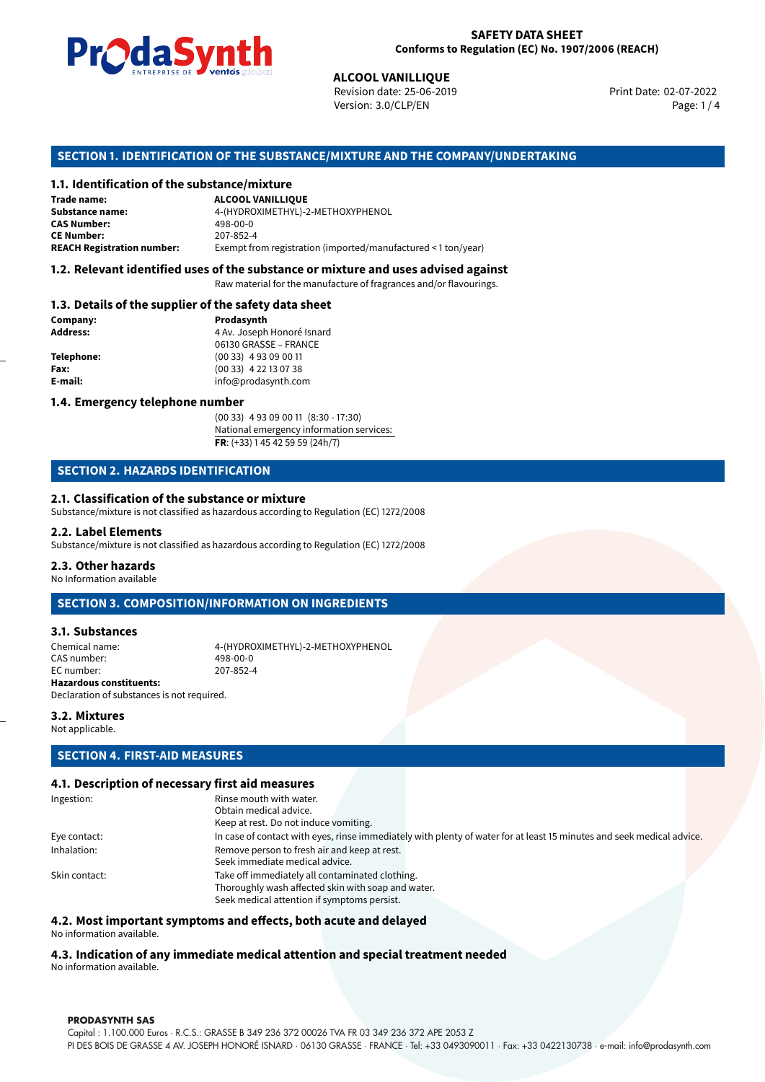

Revision date: 25-06-2019 Version: 3.0/CLP/EN Page: 1 / 4

Print Date: 02-07-2022

# **SECTION 1. IDENTIFICATION OF THE SUBSTANCE/MIXTURE AND THE COMPANY/UNDERTAKING**

### **1.1. Identification of the substance/mixture**

|                                              | LIVINLENISL DE STUDIS SUSSESSIONS<br><b>ALCOOL VANILLIQUE</b><br>Revision date: 25-06-2019<br>Version: 3.0/CLP/EN |
|----------------------------------------------|-------------------------------------------------------------------------------------------------------------------|
|                                              | SECTION 1. IDENTIFICATION OF THE SUBSTANCE/MIXTURE AND THE COMPANY/                                               |
| 1.1. Identification of the substance/mixture |                                                                                                                   |
| Trade name:                                  | <b>ALCOOL VANILLIQUE</b>                                                                                          |
| Substance name:                              | 4-(HYDROXIMETHYL)-2-METHOXYPHENOL                                                                                 |
| <b>CAS Number:</b>                           | 498-00-0                                                                                                          |
| <b>CE Number:</b>                            | 207-852-4                                                                                                         |
| <b>REACH Registration number:</b>            | Exempt from registration (imported/manufactured < 1 ton/year)                                                     |
|                                              |                                                                                                                   |

## **1.2. Relevant identified uses of the substance or mixture and uses advised against**

Raw material for the manufacture of fragrances and/or flavourings.

### **1.3. Details of the supplier of the safety data sheet**

| Company:          | Prodasynth                 |  |
|-------------------|----------------------------|--|
| <b>Address:</b>   | 4 Av. Joseph Honoré Isnard |  |
|                   | 06130 GRASSE - FRANCE      |  |
| <b>Telephone:</b> | $(0033)$ 4 93 09 00 11     |  |
| Fax:              | $(0033)$ 4 22 13 07 38     |  |
| E-mail:           | info@prodasynth.com        |  |
|                   |                            |  |

### **1.4. Emergency telephone number**

(00 33) 4 93 09 00 11 (8:30 - 17:30) National emergency information services: **FR**: (+33) 1 45 42 59 59 (24h/7)

# **SECTION 2. HAZARDS IDENTIFICATION**

### **2.1. Classification of the substance or mixture**

Substance/mixture is not classified as hazardous according to Regulation (EC) 1272/2008

### **2.2. Label Elements**

Substance/mixture is not classified as hazardous according to Regulation (EC) 1272/2008

### **2.3. Other hazards**

No Information available

# **SECTION 3. COMPOSITION/INFORMATION ON INGREDIENTS**

## **3.1. Substances**

Chemical name: 4-(HYDROXIMETHYL)-2-METHOXYPHENOL CAS number: 498-00-0<br>EC number: 207-852-4 EC number: **Hazardous constituents:**

Declaration of substances is not required.

# **3.2. Mixtures**

Not applicable.

# **SECTION 4. FIRST-AID MEASURES**

## **4.1. Description of necessary first aid measures**

| Ingestion:    | Rinse mouth with water.                                                                                               |
|---------------|-----------------------------------------------------------------------------------------------------------------------|
|               | Obtain medical advice.                                                                                                |
|               | Keep at rest. Do not induce vomiting.                                                                                 |
| Eye contact:  | In case of contact with eyes, rinse immediately with plenty of water for at least 15 minutes and seek medical advice. |
| Inhalation:   | Remove person to fresh air and keep at rest.                                                                          |
|               | Seek immediate medical advice.                                                                                        |
| Skin contact: | Take off immediately all contaminated clothing.                                                                       |
|               | Thoroughly wash affected skin with soap and water.                                                                    |
|               | Seek medical attention if symptoms persist.                                                                           |

### **4.2. Most important symptoms and effects, both acute and delayed**

No information available.

# **4.3. Indication of any immediate medical attention and special treatment needed**

No information available.

### **PRODASYNTH SAS**

Capital : 1.100.000 Euros · R.C.S.: GRASSE B 349 236 372 00026 TVA FR 03 349 236 372 APE 2053 Z PI DES BOIS DE GRASSE 4 AV. JOSEPH HONORÉ ISNARD · 06130 GRASSE · FRANCE · Tel: +33 0493090011 · Fax: +33 0422130738 · e-mail: info@prodasynth.com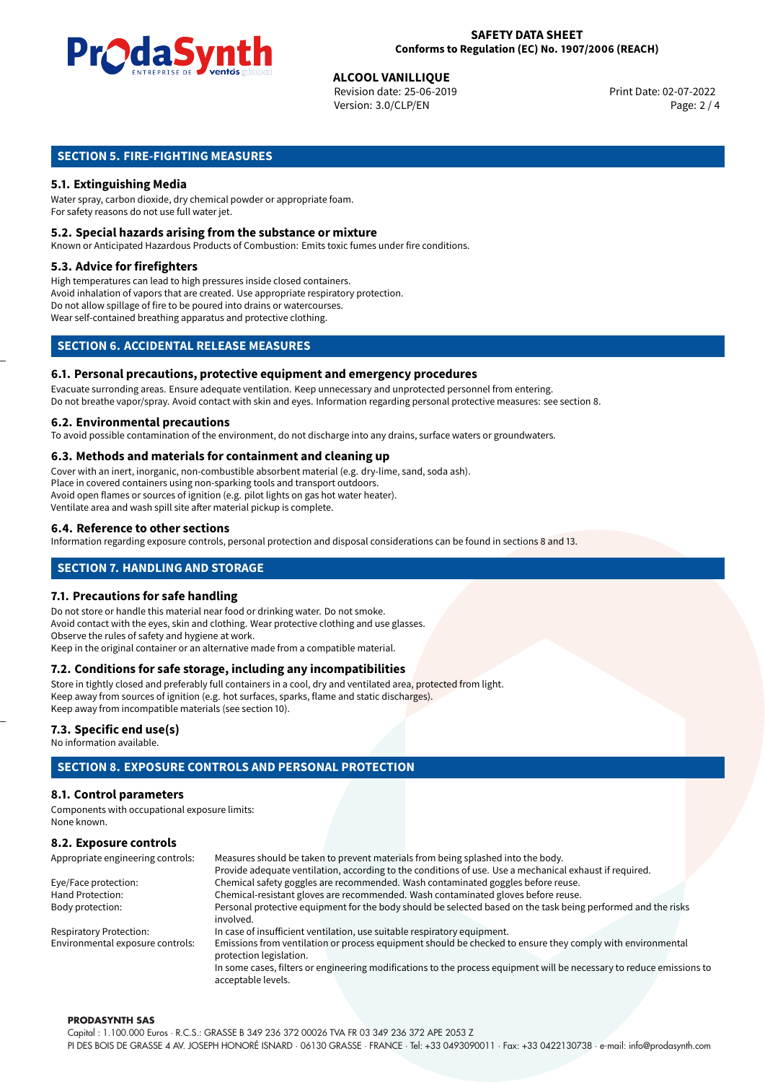

**ALCOOL VANILLIQUE**<br>Revision date: 25-06-2019 **Print Date: 02-07-2022** Version: 3.0/CLP/EN Page: 2 / 4

# **SECTION 5. FIRE-FIGHTING MEASURES**

# **5.1. Extinguishing Media**

Water spray, carbon dioxide, dry chemical powder or appropriate foam. For safety reasons do not use full water jet.

### **5.2. Special hazards arising from the substance or mixture**

Known or Anticipated Hazardous Products of Combustion: Emits toxic fumes under fire conditions.

### **5.3. Advice for firefighters**

High temperatures can lead to high pressures inside closed containers. Avoid inhalation of vapors that are created. Use appropriate respiratory protection. Do not allow spillage of fire to be poured into drains or watercourses. Wear self-contained breathing apparatus and protective clothing.

# **SECTION 6. ACCIDENTAL RELEASE MEASURES**

### **6.1. Personal precautions, protective equipment and emergency procedures**

Evacuate surronding areas. Ensure adequate ventilation. Keep unnecessary and unprotected personnel from entering. Do not breathe vapor/spray. Avoid contact with skin and eyes. Information regarding personal protective measures: see section 8.

### **6.2. Environmental precautions**

To avoid possible contamination of the environment, do not discharge into any drains, surface waters or groundwaters.

### **6.3. Methods and materials for containment and cleaning up**

Cover with an inert, inorganic, non-combustible absorbent material (e.g. dry-lime, sand, soda ash). Place in covered containers using non-sparking tools and transport outdoors. Avoid open flames or sources of ignition (e.g. pilot lights on gas hot water heater). Ventilate area and wash spill site after material pickup is complete.

### **6.4. Reference to other sections**

Information regarding exposure controls, personal protection and disposal considerations can be found in sections 8 and 13.

# **SECTION 7. HANDLING AND STORAGE**

### **7.1. Precautions for safe handling**

Do not store or handle this material near food or drinking water. Do not smoke. Avoid contact with the eyes, skin and clothing. Wear protective clothing and use glasses. Observe the rules of safety and hygiene at work. Keep in the original container or an alternative made from a compatible material.

# **7.2. Conditions for safe storage, including any incompatibilities**

Store in tightly closed and preferably full containers in a cool, dry and ventilated area, protected from light. Keep away from sources of ignition (e.g. hot surfaces, sparks, flame and static discharges). Keep away from incompatible materials (see section 10).

### **7.3. Specific end use(s)**

No information available.

# **SECTION 8. EXPOSURE CONTROLS AND PERSONAL PROTECTION**

## **8.1. Control parameters**

Components with occupational exposure limits: None known.

# **8.2. Exposure controls**

| Appropriate engineering controls: | Measures should be taken to prevent materials from being splashed into the body.                                                            |  |  |
|-----------------------------------|---------------------------------------------------------------------------------------------------------------------------------------------|--|--|
|                                   | Provide adequate ventilation, according to the conditions of use. Use a mechanical exhaust if required.                                     |  |  |
| Eye/Face protection:              | Chemical safety goggles are recommended. Wash contaminated goggles before reuse.                                                            |  |  |
| Hand Protection:                  | Chemical-resistant gloves are recommended. Wash contaminated gloves before reuse.                                                           |  |  |
| Body protection:                  | Personal protective equipment for the body should be selected based on the task being performed and the risks                               |  |  |
|                                   | involved.                                                                                                                                   |  |  |
| <b>Respiratory Protection:</b>    | In case of insufficient ventilation, use suitable respiratory equipment.                                                                    |  |  |
| Environmental exposure controls:  | Emissions from ventilation or process equipment should be checked to ensure they comply with environmental<br>protection legislation.       |  |  |
|                                   | In some cases, filters or engineering modifications to the process equipment will be necessary to reduce emissions to<br>acceptable levels. |  |  |

### **PRODASYNTH SAS**

Capital : 1.100.000 Euros · R.C.S.: GRASSE B 349 236 372 00026 TVA FR 03 349 236 372 APE 2053 Z PI DES BOIS DE GRASSE 4 AV. JOSEPH HONORÉ ISNARD · 06130 GRASSE · FRANCE · Tel: +33 0493090011 · Fax: +33 0422130738 · e-mail: info@prodasynth.com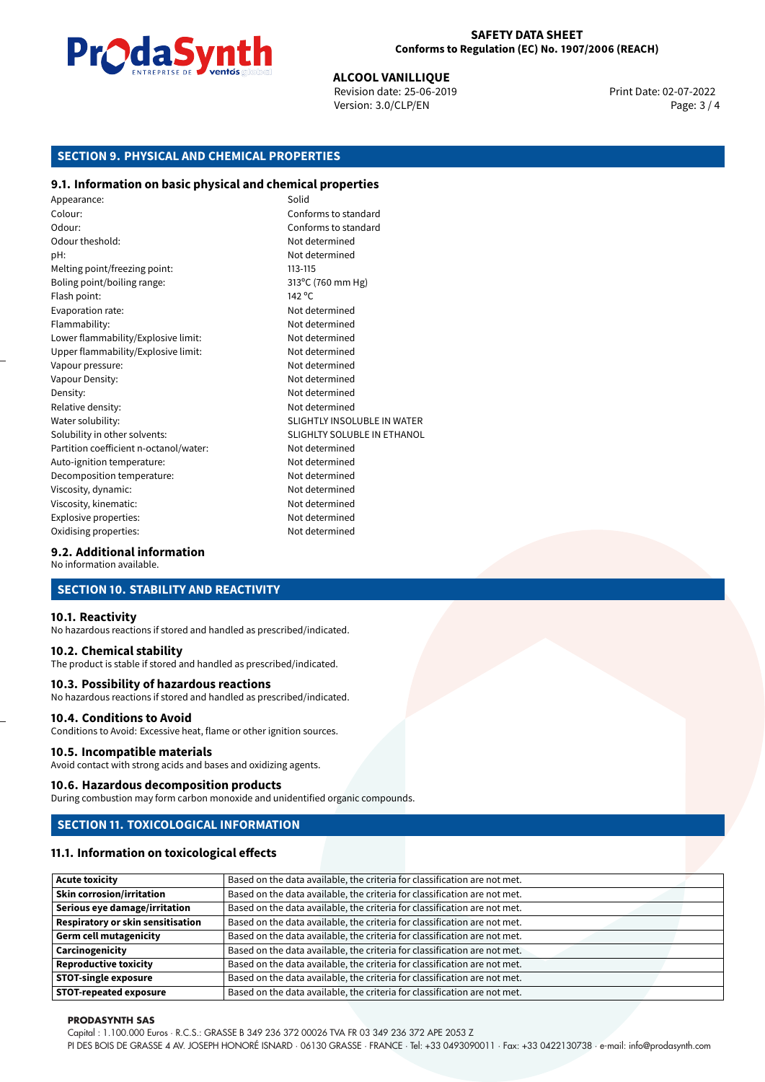

**ALCOOL VANILLIQUE**<br>Revision date: 25-06-2019 **Print Date: 02-07-2022** Version: 3.0/CLP/EN Page: 3 / 4

# **SECTION 9. PHYSICAL AND CHEMICAL PROPERTIES**

## **9.1. Information on basic physical and chemical properties**

Appearance: Solid Colour: Conforms to standard Odour: Conforms to standard Odour theshold: Not determined pH: Not determined Melting point/freezing point: 113-115 Boling point/boiling range: 313°C (760 mm Hg) Flash point: 142 °C Evaporation rate: Not determined Flammability: Not determined Lower flammability/Explosive limit: Not determined Upper flammability/Explosive limit: Not determined Vapour pressure: Vapour pressure: Not determined Vapour Density: Not determined Density: Not determined Relative density: Not determined Water solubility: Water solubility: SLIGHTLY INSOLUBLE IN WATER Solubility in other solvents: SLIGHLTY SOLUBLE IN ETHANOL Partition coefficient n-octanol/water: Not determined Auto-ignition temperature: Not determined Decomposition temperature: Not determined Viscosity, dynamic:  $\blacksquare$ Viscosity, kinematic: Not determined Explosive properties: Not determined Oxidising properties: Not determined

# **9.2. Additional information**

No information available.

# **SECTION 10. STABILITY AND REACTIVITY**

### **10.1. Reactivity**

No hazardous reactions if stored and handled as prescribed/indicated.

### **10.2. Chemical stability**

The product is stable if stored and handled as prescribed/indicated.

### **10.3. Possibility of hazardous reactions**

No hazardous reactions if stored and handled as prescribed/indicated.

### **10.4. Conditions to Avoid**

Conditions to Avoid: Excessive heat, flame or other ignition sources.

### **10.5. Incompatible materials**

Avoid contact with strong acids and bases and oxidizing agents.

### **10.6. Hazardous decomposition products**

During combustion may form carbon monoxide and unidentified organic compounds.

# **SECTION 11. TOXICOLOGICAL INFORMATION**

### **11.1. Information on toxicological effects**

| <b>Acute toxicity</b>                    | Based on the data available, the criteria for classification are not met. |
|------------------------------------------|---------------------------------------------------------------------------|
| <b>Skin corrosion/irritation</b>         | Based on the data available, the criteria for classification are not met. |
| Serious eye damage/irritation            | Based on the data available, the criteria for classification are not met. |
| <b>Respiratory or skin sensitisation</b> | Based on the data available, the criteria for classification are not met. |
| <b>Germ cell mutagenicity</b>            | Based on the data available, the criteria for classification are not met. |
| Carcinogenicity                          | Based on the data available, the criteria for classification are not met. |
| <b>Reproductive toxicity</b>             | Based on the data available, the criteria for classification are not met. |
| <b>STOT-single exposure</b>              | Based on the data available, the criteria for classification are not met. |
| <b>STOT-repeated exposure</b>            | Based on the data available, the criteria for classification are not met. |

### **PRODASYNTH SAS**

Capital : 1.100.000 Euros · R.C.S.: GRASSE B 349 236 372 00026 TVA FR 03 349 236 372 APE 2053 Z

PI DES BOIS DE GRASSE 4 AV. JOSEPH HONORÉ ISNARD · 06130 GRASSE · FRANCE · Tel: +33 0493090011 · Fax: +33 0422130738 · e-mail: info@prodasynth.com